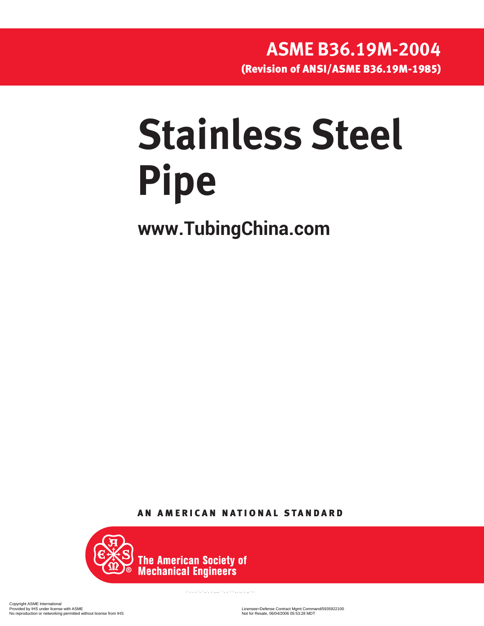### **Stainless Steel Pipe**

**[www.TubingChina.com](https://tubingchina.com/)**

AN AMERICAN NATIONAL STANDARD

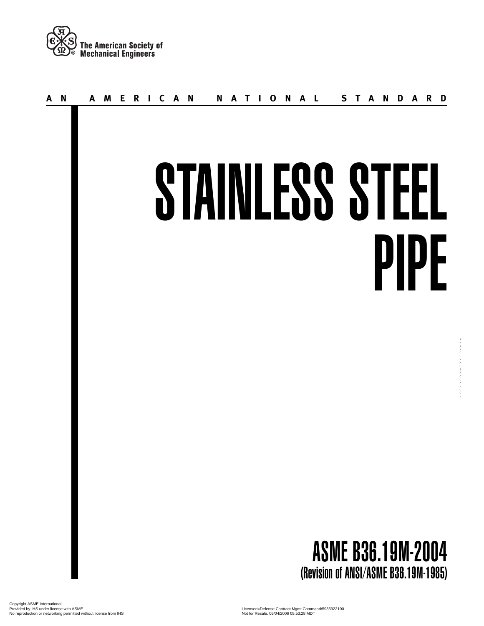

### **AN AMERICAN NATIONAL STANDARD**

## STAINLESS STEEL PIPE

# ASME B36.19M-2004 (Revision of ANSI/ASME B36.19M-1985) Copyright ASME International Provided by IHS under license with ASME Licensee=Defense Contract Mgmt Command/5935922100 No reproduction or networking permitted without license from IHS Not for Resale, 06/04/2006 05:53:28 MDT --`,`,`,``,``,,`,`,`,,,,```,`,`-`-`,,`,,`,`,,`---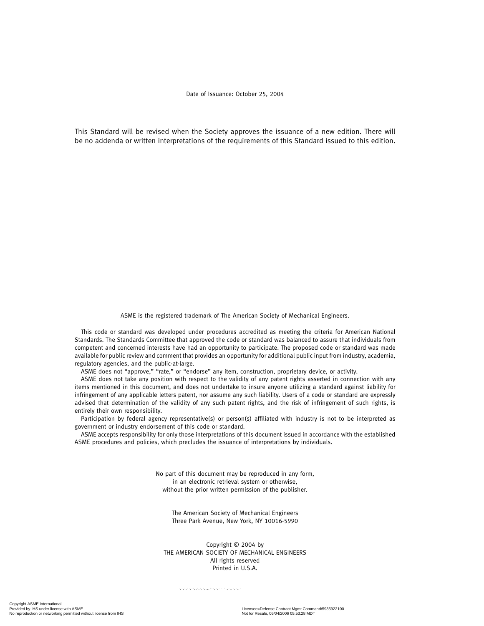This Standard will be revised when the Society approves the issuance of a new edition. There will be no addenda or written interpretations of the requirements of this Standard issued to this edition.

ASME is the registered trademark of The American Society of Mechanical Engineers.

This code or standard was developed under procedures accredited as meeting the criteria for American National Standards. The Standards Committee that approved the code or standard was balanced to assure that individuals from competent and concerned interests have had an opportunity to participate. The proposed code or standard was made available for public review and comment that provides an opportunity for additional public input from industry, academia, regulatory agencies, and the public-at-large.

ASME does not "approve," "rate," or "endorse" any item, construction, proprietary device, or activity.

ASME does not take any position with respect to the validity of any patent rights asserted in connection with any items mentioned in this document, and does not undertake to insure anyone utilizing a standard against liability for infringement of any applicable letters patent, nor assume any such liability. Users of a code or standard are expressly advised that determination of the validity of any such patent rights, and the risk of infringement of such rights, is entirely their own responsibility.

Participation by federal agency representative(s) or person(s) affiliated with industry is not to be interpreted as government or industry endorsement of this code or standard.

ASME accepts responsibility for only those interpretations of this document issued in accordance with the established ASME procedures and policies, which precludes the issuance of interpretations by individuals.

> No part of this document may be reproduced in any form, in an electronic retrieval system or otherwise, without the prior written permission of the publisher.

The American Society of Mechanical Engineers Three Park Avenue, New York, NY 10016-5990

Copyright © 2004 by THE AMERICAN SOCIETY OF MECHANICAL ENGINEERS All rights reserved Printed in U.S.A.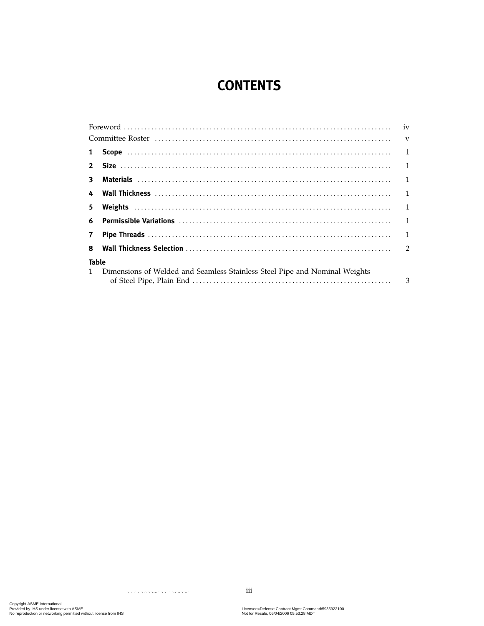### **CONTENTS**

|                         | $For word           iv iv    iv  iv  iv  iv iv  iv iv  iv iv  iv iv iv$    |  |
|-------------------------|----------------------------------------------------------------------------|--|
|                         |                                                                            |  |
| $\mathbf{1}$            |                                                                            |  |
|                         |                                                                            |  |
| $\overline{\mathbf{3}}$ |                                                                            |  |
| 4                       |                                                                            |  |
| 5.                      |                                                                            |  |
| 6                       |                                                                            |  |
| $\mathbf{7}$            |                                                                            |  |
| 8                       |                                                                            |  |
| Table                   |                                                                            |  |
|                         | Dimensions of Welded and Seamless Stainless Steel Pipe and Nominal Weights |  |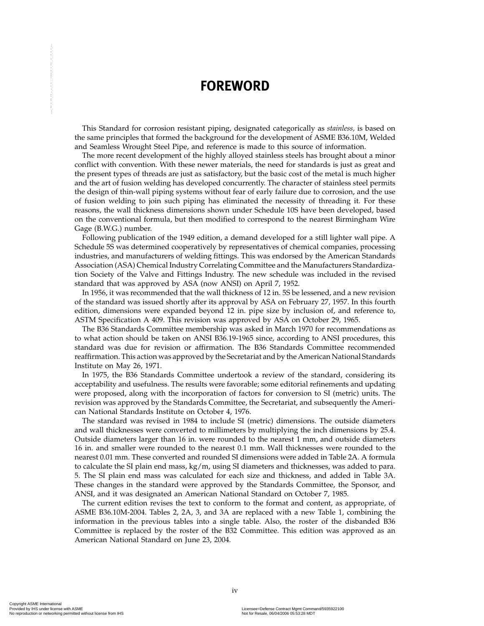### **FOREWORD**

This Standard for corrosion resistant piping, designated categorically as *stainless,* is based on the same principles that formed the background for the development of ASME B36.10M, Welded and Seamless Wrought Steel Pipe, and reference is made to this source of information.

The more recent development of the highly alloyed stainless steels has brought about a minor conflict with convention. With these newer materials, the need for standards is just as great and the present types of threads are just as satisfactory, but the basic cost of the metal is much higher and the art of fusion welding has developed concurrently. The character of stainless steel permits the design of thin-wall piping systems without fear of early failure due to corrosion, and the use of fusion welding to join such piping has eliminated the necessity of threading it. For these reasons, the wall thickness dimensions shown under Schedule 10S have been developed, based on the conventional formula, but then modified to correspond to the nearest Birmingham Wire Gage (B.W.G.) number.

Following publication of the 1949 edition, a demand developed for a still lighter wall pipe. A Schedule 5S was determined cooperatively by representatives of chemical companies, processing industries, and manufacturers of welding fittings. This was endorsed by the American Standards Association (ASA) Chemical Industry Correlating Committee and the Manufacturers Standardization Society of the Valve and Fittings Industry. The new schedule was included in the revised standard that was approved by ASA (now ANSI) on April 7, 1952.

In 1956, it was recommended that the wall thickness of 12 in. 5S be lessened, and a new revision of the standard was issued shortly after its approval by ASA on February 27, 1957. In this fourth edition, dimensions were expanded beyond 12 in. pipe size by inclusion of, and reference to, ASTM Specification A 409. This revision was approved by ASA on October 29, 1965.

The B36 Standards Committee membership was asked in March 1970 for recommendations as to what action should be taken on ANSI B36.19-1965 since, according to ANSI procedures, this standard was due for revision or affirmation. The B36 Standards Committee recommended reaffirmation. This action was approved by the Secretariat and by the American National Standards Institute on May 26, 1971.

In 1975, the B36 Standards Committee undertook a review of the standard, considering its acceptability and usefulness. The results were favorable; some editorial refinements and updating were proposed, along with the incorporation of factors for conversion to SI (metric) units. The revision was approved by the Standards Committee, the Secretariat, and subsequently the American National Standards Institute on October 4, 1976.

The standard was revised in 1984 to include SI (metric) dimensions. The outside diameters and wall thicknesses were converted to millimeters by multiplying the inch dimensions by 25.4. Outside diameters larger than 16 in. were rounded to the nearest 1 mm, and outside diameters 16 in. and smaller were rounded to the nearest 0.1 mm. Wall thicknesses were rounded to the nearest 0.01 mm. These converted and rounded SI dimensions were added in Table 2A. A formula to calculate the SI plain end mass,  $\text{kg/m}$ , using SI diameters and thicknesses, was added to para. 5. The SI plain end mass was calculated for each size and thickness, and added in Table 3A. These changes in the standard were approved by the Standards Committee, the Sponsor, and ANSI, and it was designated an American National Standard on October 7, 1985. **EOREWORD**<br>
This wandard for correction registrate the prior of the design of constrained by a subset<br>of the same considered in forming the study considered of the design consideration<br>of the same considered in forming th

The current edition revises the text to conform to the format and content, as appropriate, of ASME B36.10M-2004. Tables 2, 2A, 3, and 3A are replaced with a new Table 1, combining the information in the previous tables into a single table. Also, the roster of the disbanded B36 Committee is replaced by the roster of the B32 Committee. This edition was approved as an American National Standard on June 23, 2004.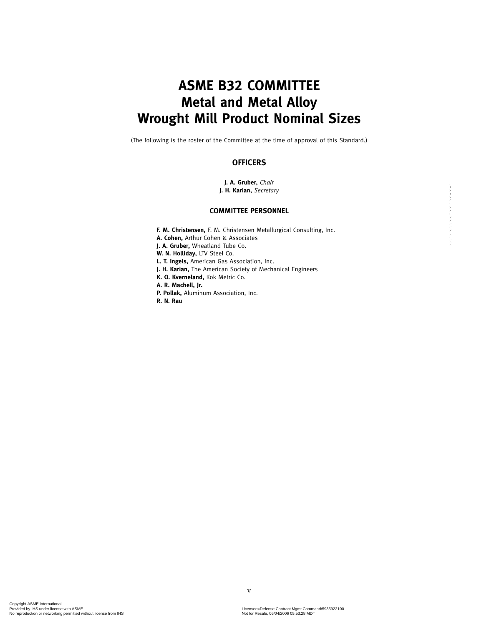### **ASME B32 COMMITTEE Metal and Metal Alloy Wrought Mill Product Nominal Sizes**

(The following is the roster of the Committee at the time of approval of this Standard.)

### **OFFICERS**

### **J. A. Gruber,** *Chair* **J. H. Karian,** *Secretary*

### **COMMITTEE PERSONNEL**

- **F. M. Christensen,** F. M. Christensen Metallurgical Consulting, Inc.
- **A. Cohen,** Arthur Cohen & Associates

**J. A. Gruber,** Wheatland Tube Co.

- **W. N. Holliday,** LTV Steel Co.
- **L. T. Ingels,** American Gas Association, Inc.
- **J. H. Karian,** The American Society of Mechanical Engineers
- **K. O. Kverneland,** Kok Metric Co.
- **A. R. Machell, Jr.**
- **P. Pollak,** Aluminum Association, Inc.
- **R. N. Rau**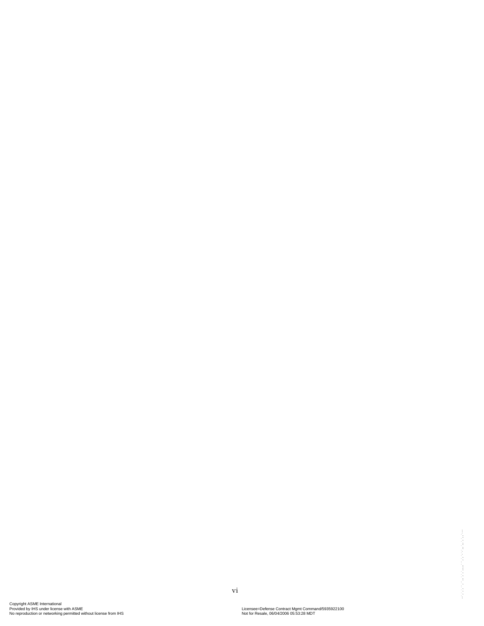Copyright ASME International<br>Provided by HS under license<br>Por eproducted by HS under license with ASME<br>No reproduction or networking permitted without license from IHS<br>No reproduction or networking permitted without licens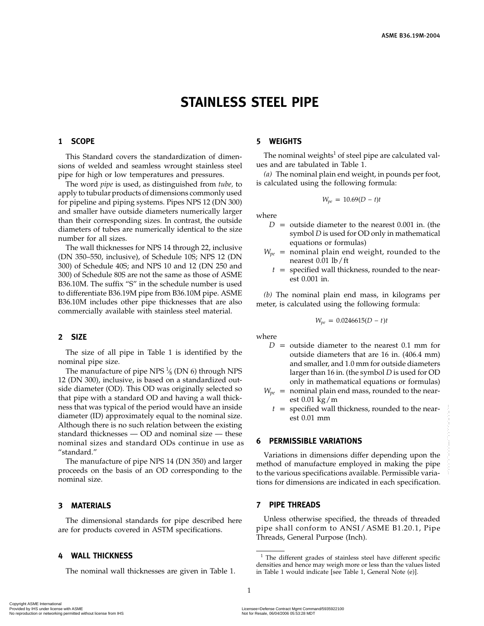### **[STAINLESS](https://tubingchina.com/) STEEL PIPE**

### **1 SCOPE**

This Standard covers the standardization of dimensions of welded and seamless wrought stainless steel pipe for high or low temperatures and pressures.

The word *pipe* is used, as distinguished from *tube,* to apply to tubular products of dimensions commonly used for pipeline and piping systems. Pipes NPS 12 (DN 300) and smaller have outside diameters numerically larger than their corresponding sizes. In contrast, the outside diameters of tubes are numerically identical to the size number for all sizes.

The wall thicknesses for NPS 14 through 22, inclusive (DN 350–550, inclusive), of Schedule 10S; NPS 12 (DN 300) of Schedule 40S; and NPS 10 and 12 (DN 250 and 300) of Schedule 80S are not the same as those of ASME B36.10M. The suffix "S" in the schedule number is used to differentiate B36.19M pipe from B36.10M pipe. ASME B36.10M includes other pipe thicknesses that are also commercially available with stainless steel material.

### **2 SIZE**

The size of all pipe in Table 1 is identified by the [nominal](https://tubingchina.com/NPS-Nominal-Pipe-Size.htm) pipe size.

The manufacture of pipe NPS  $\frac{1}{8}$  (DN 6) through NPS 12 (DN 300), inclusive, is based on a standardized outside diameter (OD). This OD was originally selected so that pipe with a standard OD and having a wall thickness that was typical of the period would have an inside diameter (ID) approximately equal to the nominal size. Although there is no such relation between the existing standard thicknesses — OD and nominal size — these nominal sizes and standard ODs continue in use as "standard." The state was typical of the penrod would have an inside<br>
diameter (ID) approximately equal to the nominal size.<br>
Although there is no such relation between the easing<br>
standard thicknesses — OD and nominal size.<br>
Standar

The manufacture of pipe NPS 14 (DN 350) and larger proceeds on the basis of an OD corresponding to the nominal size.

### **3 MATERIALS**

The dimensional standards for pipe described here are for products covered in ASTM specifications.

### **4 WALL THICKNESS**

The nominal wall thicknesses are given in Table 1.

### **5 WEIGHTS**

The nominal weights<sup>1</sup> of steel pipe are calculated values and are tabulated in Table 1.

*(a)* The nominal plain end weight, in pounds per foot, is calculated using the following formula:

$$
W_{pe} = 10.69(D - t)t
$$

where

- $D =$  outside diameter to the nearest 0.001 in. (the symbol *D* is used for OD only in mathematical equations or formulas)
- $W_{pe}$  = nominal plain end weight, rounded to the nearest 0.01 lb/ft
	- $t =$  specified wall thickness, rounded to the nearest 0.001 in.

*(b)* The nominal plain end mass, in kilograms per meter, is calculated using the following formula:

$$
W_{pe} = 0.0246615(D - t)t
$$

where

- $D =$  outside diameter to the nearest 0.1 mm for outside diameters that are 16 in. (406.4 mm) and smaller, and 1.0 mm for outside diameters larger than 16 in. (the symbol *D* is used for OD only in mathematical equations or formulas)
- $W_{pe}$  = nominal plain end mass, rounded to the nearest 0.01 kg/m
	- $t =$  specified wall thickness, rounded to the nearest 0.01 mm

### **6 PERMISSIBLE VARIATIONS**

Variations in dimensions differ depending upon the method of manufacture employed in making the pipe to the various specifications available. Permissible variations for dimensions are indicated in each specification.

### **7 PIPE THREADS**

Unless otherwise specified, the threads of threaded pipe shall conform to ANSI/ASME B1.20.1, Pipe Threads, General Purpose (Inch).

<sup>&</sup>lt;sup>1</sup> The different grades of stainless steel have different specific densities and hence may weigh more or less than the values listed in Table 1 would indicate [see Table 1, General Note (e)].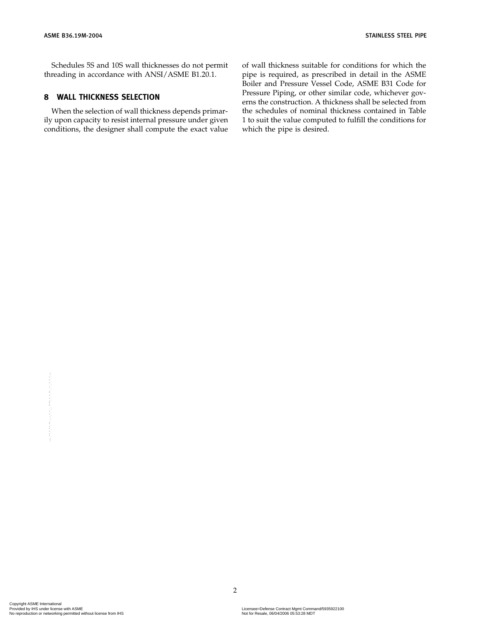Schedules 5S and 10S wall thicknesses do not permit threading in accordance with ANSI/ASME B1.20.1.

### **8 WALL THICKNESS SELECTION**

When the selection of wall thickness depends primarily upon capacity to resist internal pressure under given conditions, the designer shall compute the exact value of wall thickness suitable for conditions for which the pipe is required, as prescribed in detail in the ASME Boiler and Pressure Vessel Code, ASME B31 Code for Pressure Piping, or other similar code, whichever governs the construction. A thickness shall be selected from the schedules of nominal thickness contained in Table 1 to suit the value computed to fulfill the conditions for which the pipe is desired.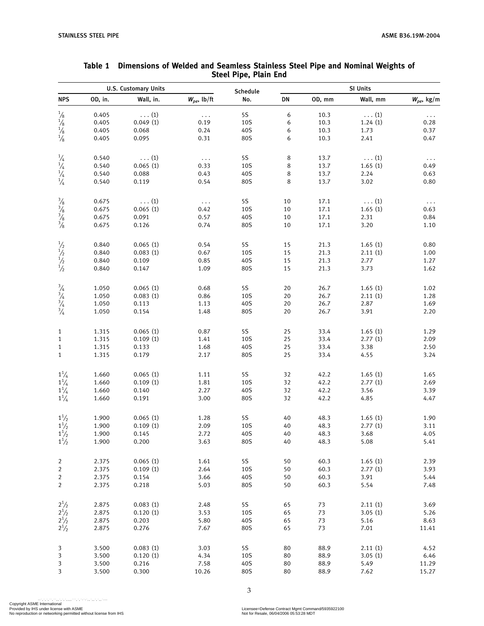|                                                                  |                | <b>U.S. Customary Units</b> |                  | Schedule   | SI Units |          |              |                 |  |
|------------------------------------------------------------------|----------------|-----------------------------|------------------|------------|----------|----------|--------------|-----------------|--|
| <b>NPS</b>                                                       | OD, in.        | Wall, in.                   | $W_{pe}$ , lb/ft | No.        | DN       | OD, mm   | Wall, mm     | $W_{pe}$ , kg/m |  |
|                                                                  | 0.405          | $\ldots$ (1)                | $\ldots$         | <b>5S</b>  | 6        | 10.3     | $\ldots$ (1) |                 |  |
|                                                                  | 0.405          | 0.049(1)                    | 0.19             | 10S        | 6        | 10.3     | 1.24(1)      | 0.28            |  |
|                                                                  | 0.405          | 0.068                       | 0.24             | 40S        | 6        | 10.3     | 1.73         | 0.37            |  |
| $\frac{1}{8}$<br>$\frac{1}{8}$<br>$\frac{1}{8}$<br>$\frac{1}{8}$ | 0.405          | 0.095                       | 0.31             | 80S        | 6        | 10.3     | 2.41         | 0.47            |  |
|                                                                  | 0.540          | $\ldots$ (1)                |                  | <b>5S</b>  | 8        |          | $\ldots$ (1) |                 |  |
| $\frac{1}{4}$<br>$\frac{1}{4}$<br>$\frac{1}{4}$<br>$\frac{1}{4}$ |                |                             | $\ldots$         |            |          | 13.7     |              | $\ldots$        |  |
|                                                                  | 0.540          | 0.065(1)                    | 0.33             | 10S        | 8        | 13.7     | 1.65(1)      | 0.49            |  |
|                                                                  | 0.540          | 0.088                       | 0.43             | 40S        | 8        | 13.7     | 2.24         | 0.63            |  |
|                                                                  | 0.540          | 0.119                       | 0.54             | 80S        | 8        | 13.7     | 3.02         | 0.80            |  |
| $\frac{3}{8}$<br>$\frac{3}{8}$<br>$\frac{3}{8}$<br>$\frac{3}{8}$ | 0.675          | $\ldots$ (1)                | $\ldots$         | <b>5S</b>  | 10       | 17.1     | $\ldots$ (1) | $\ldots$        |  |
|                                                                  | 0.675          | 0.065(1)                    | 0.42             | 10S        | 10       | 17.1     | 1.65(1)      | 0.63            |  |
|                                                                  | 0.675          | 0.091                       | 0.57             | 40S        | 10       | 17.1     | 2.31         | 0.84            |  |
|                                                                  | 0.675          | 0.126                       | 0.74             | 80S        | 10       | 17.1     | 3.20         | 1.10            |  |
|                                                                  | 0.840          | 0.065(1)                    | 0.54             | 5S         | 15       | 21.3     | 1.65(1)      | 0.80            |  |
|                                                                  | 0.840          | 0.083(1)                    | 0.67             | 10S        | 15       | 21.3     | 2.11(1)      | 1.00            |  |
| $\frac{1}{2}$<br>$\frac{1}{2}$<br>$\frac{1}{2}$                  | 0.840          | 0.109                       | 0.85             | 40S        | 15       | 21.3     | 2.77         | 1.27            |  |
|                                                                  | 0.840          | 0.147                       | 1.09             | 80S        | 15       | 21.3     | 3.73         | 1.62            |  |
|                                                                  |                |                             |                  |            |          |          |              |                 |  |
| $\frac{3}{4}$<br>$\frac{3}{4}$<br>$\frac{3}{4}$<br>$\frac{3}{4}$ | 1.050          | 0.065(1)                    | 0.68             | <b>5S</b>  | 20       | 26.7     | 1.65(1)      | 1.02            |  |
|                                                                  | 1.050          | 0.083(1)                    | 0.86             | 10S        | 20       | 26.7     | 2.11(1)      | 1.28            |  |
|                                                                  | 1.050          | 0.113                       | 1.13             | 40S        | 20       | 26.7     | 2.87         | 1.69            |  |
|                                                                  | 1.050          | 0.154                       | 1.48             | 80S        | 20       | 26.7     | 3.91         | 2.20            |  |
| $\mathbf{1}$                                                     | 1.315          | 0.065(1)                    | 0.87             | <b>5S</b>  | 25       | 33.4     | 1.65(1)      | 1.29            |  |
| $\mathbf{1}$                                                     | 1.315          | 0.109(1)                    | 1.41             | 10S        | 25       | 33.4     | 2.77(1)      | 2.09            |  |
| $\mathbf{1}$                                                     | 1.315          | 0.133                       | 1.68             | 40S        | 25       | 33.4     | 3.38         | 2.50            |  |
| $\mathbf{1}$                                                     | 1.315          | 0.179                       | 2.17             | 80S        | 25       | 33.4     | 4.55         | 3.24            |  |
|                                                                  |                |                             |                  |            |          |          |              |                 |  |
| $1\frac{1}{4}$                                                   | 1.660          | 0.065(1)                    | 1.11             | <b>5S</b>  | 32       | 42.2     | 1.65(1)      | 1.65            |  |
| $1\frac{1}{4}$<br>$1\frac{1}{4}$                                 | 1.660          | 0.109(1)                    | 1.81             | 10S        | 32       | 42.2     | 2.77(1)      | 2.69            |  |
|                                                                  | 1.660          | 0.140                       | 2.27             | 40S        | 32       | 42.2     | 3.56         | 3.39            |  |
| $1\frac{1}{4}$                                                   | 1.660          | 0.191                       | 3.00             | 80S        | 32       | 42.2     | 4.85         | 4.47            |  |
| $1\frac{1}{2}$                                                   | 1.900          | 0.065(1)                    | 1.28             | <b>5S</b>  | 40       | 48.3     | 1.65(1)      | 1.90            |  |
|                                                                  | 1.900          | 0.109(1)                    | 2.09             | 10S        | 40       | 48.3     | 2.77(1)      | 3.11            |  |
| $1\frac{1}{2}$<br>$1\frac{1}{2}$                                 | 1.900          | 0.145                       | 2.72             | 40S        | 40       | 48.3     | 3.68         | 4.05            |  |
| $1\frac{1}{2}$                                                   | 1.900          | 0.200                       | 3.63             | 80S        | 40       | 48.3     | 5.08         | 5.41            |  |
| $\overline{2}$                                                   | 2.375          | 0.065(1)                    | 1.61             | <b>5S</b>  | 50       | 60.3     | 1.65(1)      | 2.39            |  |
| $\overline{2}$                                                   | 2.375          | 0.109(1)                    | 2.64             | 10S        | 50       | 60.3     | 2.77(1)      | 3.93            |  |
| $\overline{2}$                                                   | 2.375          | 0.154                       | 3.66             | 40S        | 50       | 60.3     | 3.91         | 5.44            |  |
| $\overline{2}$                                                   | 2.375          | 0.218                       | 5.03             | 80S        | 50       | 60.3     | 5.54         | 7.48            |  |
|                                                                  |                |                             |                  |            |          |          |              |                 |  |
| $2^{1/2}_{2/2}$                                                  | 2.875          | 0.083(1)                    | 2.48             | <b>5S</b>  | 65       | 73       | 2.11(1)      | 3.69            |  |
|                                                                  | 2.875          | 0.120(1)                    | 3.53             | 10S        | 65       | 73       | 3.05(1)      | 5.26            |  |
| $2^{1/2}$<br>$2^{1/2}$                                           | 2.875<br>2.875 | 0.203<br>0.276              | 5.80<br>7.67     | 40S<br>80S | 65<br>65 | 73<br>73 | 5.16<br>7.01 | 8.63<br>11.41   |  |
|                                                                  |                |                             |                  |            |          |          |              |                 |  |
| 3                                                                | 3.500          | 0.083(1)                    | 3.03             | 5S         | 80       | 88.9     | 2.11(1)      | 4.52            |  |
| 3                                                                | 3.500          | 0.120(1)                    | 4.34             | 10S        | 80       | 88.9     | 3.05(1)      | 6.46            |  |
| 3                                                                | 3.500          | 0.216                       | 7.58             | 40S        | 80       | 88.9     | 5.49         | 11.29           |  |
| 3                                                                | 3.500          | 0.300                       | 10.26            | 80S        | 80       | 88.9     | 7.62         | 15.27           |  |
|                                                                  |                |                             |                  |            |          |          |              |                 |  |

### **Table 1 Dimensions of Welded and Seamless Stainless Steel Pipe and Nominal Weights of Steel Pipe, Plain End**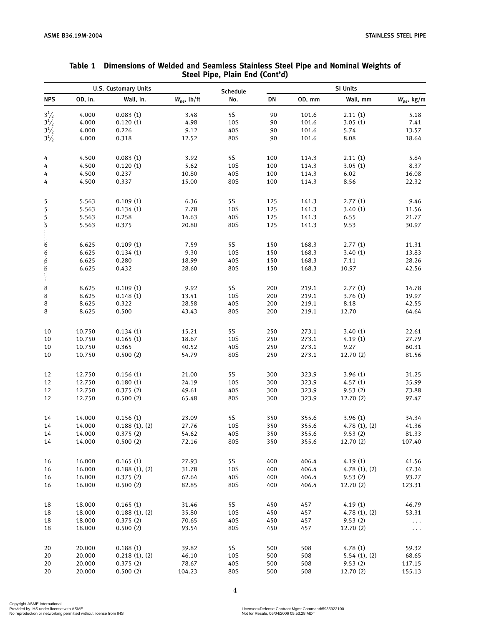| <b>U.S. Customary Units</b>         |         | Schedule      |                  |           |     |        |              |                 |
|-------------------------------------|---------|---------------|------------------|-----------|-----|--------|--------------|-----------------|
| <b>NPS</b>                          | OD, in. | Wall, in.     | $W_{pe}$ , lb/ft | No.       | DN  | OD, mm | Wall, mm     | $W_{pe}$ , kg/m |
| $3^{1/2}$<br>$3^{1/2}$<br>$3^{1/2}$ | 4.000   | 0.083(1)      | 3.48             | 5S        | 90  | 101.6  | 2.11(1)      | 5.18            |
|                                     | 4.000   | 0.120(1)      | 4.98             | 10S       | 90  | 101.6  | 3.05(1)      | 7.41            |
|                                     | 4.000   | 0.226         | 9.12             | 40S       | 90  | 101.6  | 5.74         | 13.57           |
| $3^{1/2}$                           | 4.000   | 0.318         | 12.52            | 80S       | 90  | 101.6  | 8.08         | 18.64           |
| 4                                   | 4.500   | 0.083(1)      | 3.92             | 5S        | 100 | 114.3  | 2.11(1)      | 5.84            |
| 4                                   | 4.500   | 0.120(1)      | 5.62             | 10S       | 100 | 114.3  | 3.05(1)      | 8.37            |
| 4                                   | 4.500   | 0.237         | 10.80            | 40S       | 100 | 114.3  | 6.02         | 16.08           |
| 4                                   | 4.500   | 0.337         | 15.00            | 80S       | 100 | 114.3  | 8.56         | 22.32           |
| 5                                   | 5.563   | 0.109(1)      | 6.36             | <b>5S</b> | 125 | 141.3  | 2.77(1)      | 9.46            |
|                                     | 5.563   | 0.134(1)      | 7.78             | 10S       | 125 | 141.3  | 3.40(1)      | 11.56           |
|                                     | 5.563   | 0.258         | 14.63            | 40S       | 125 | 141.3  | 6.55         | 21.77           |
| 5.5.5.5                             | 5.563   | 0.375         | 20.80            | 80S       | 125 | 141.3  | 9.53         | 30.97           |
|                                     |         |               |                  |           |     |        |              |                 |
| 6.6.6                               | 6.625   | 0.109(1)      | 7.59             | <b>5S</b> | 150 | 168.3  | 2.77(1)      | 11.31           |
|                                     | 6.625   | 0.134(1)      | 9.30             | 10S       | 150 | 168.3  | 3.40(1)      | 13.83           |
|                                     | 6.625   | 0.280         | 18.99            | 40S       | 150 | 168.3  | 7.11         | 28.26           |
| $\ddot{6}$                          | 6.625   | 0.432         | 28.60            | 80S       | 150 | 168.3  | 10.97        | 42.56           |
| $\,8\,$                             | 8.625   | 0.109(1)      | 9.92             | 5S        | 200 | 219.1  | 2.77(1)      | 14.78           |
| $\,8\,$                             | 8.625   | 0.148(1)      | 13.41            | 10S       | 200 | 219.1  | 3.76(1)      | 19.97           |
| 8                                   | 8.625   | 0.322         | 28.58            | 40S       | 200 | 219.1  | 8.18         | 42.55           |
| 8                                   | 8.625   | 0.500         | 43.43            | 80S       | 200 | 219.1  | 12.70        | 64.64           |
|                                     |         |               |                  |           |     |        |              |                 |
| 10                                  | 10.750  | 0.134(1)      | 15.21            | <b>5S</b> | 250 | 273.1  | 3.40(1)      | 22.61           |
| $10\,$                              | 10.750  | 0.165(1)      | 18.67            | 10S       | 250 | 273.1  | 4.19(1)      | 27.79           |
| $10\,$                              | 10.750  | 0.365         | 40.52            | 40S       | 250 | 273.1  | 9.27         | 60.31           |
| 10                                  | 10.750  | 0.500(2)      | 54.79            | 80S       | 250 | 273.1  | 12.70(2)     | 81.56           |
| 12                                  | 12.750  | 0.156(1)      | 21.00            | 5S        | 300 | 323.9  | 3.96(1)      | 31.25           |
| $12\,$                              | 12.750  | 0.180(1)      | 24.19            | 10S       | 300 | 323.9  | 4.57(1)      | 35.99           |
| 12                                  | 12.750  | 0.375(2)      | 49.61            | 40S       | 300 | 323.9  | 9.53(2)      | 73.88           |
| 12                                  | 12.750  | 0.500(2)      | 65.48            | 80S       | 300 | 323.9  | 12.70(2)     | 97.47           |
| 14                                  | 14.000  | 0.156(1)      | 23.09            | 5S        | 350 | 355.6  | 3.96(1)      | 34.34           |
| 14                                  | 14.000  | 0.188(1), (2) | 27.76            | 10S       | 350 | 355.6  | 4.78(1), (2) | 41.36           |
| 14                                  | 14.000  | 0.375(2)      | 54.62            | 40S       | 350 | 355.6  | 9.53(2)      | 81.33           |
| 14                                  | 14.000  | 0.500(2)      | 72.16            | 80S       | 350 | 355.6  | 12.70(2)     | 107.40          |
| 16                                  | 16.000  | 0.165(1)      | 27.93            | 5S        | 400 | 406.4  | 4.19(1)      | 41.56           |
| 16                                  | 16.000  | 0.188(1), (2) | 31.78            | 10S       | 400 | 406.4  | 4.78(1), (2) | 47.34           |
| 16                                  | 16.000  | 0.375(2)      | 62.64            | 40S       | 400 | 406.4  | 9.53(2)      | 93.27           |
| 16                                  | 16.000  | 0.500(2)      | 82.85            | 80S       | 400 | 406.4  | 12.70(2)     | 123.31          |
| 18                                  | 18.000  | 0.165(1)      | 31.46            | 5S        | 450 | 457    | 4.19(1)      | 46.79           |
| 18                                  | 18.000  | 0.188(1), (2) | 35.80            | 10S       | 450 | 457    | 4.78(1), (2) | 53.31           |
| 18                                  | 18.000  | 0.375(2)      | 70.65            | 40S       | 450 | 457    | 9.53(2)      | $\ddotsc$       |
| 18                                  | 18.000  | 0.500(2)      | 93.54            | 80S       | 450 | 457    | 12.70(2)     | $\ddots$        |
| 20                                  | 20.000  | 0.188(1)      | 39.82            | 5S        | 500 | 508    | 4.78(1)      | 59.32           |
| 20                                  | 20.000  | 0.218(1), (2) | 46.10            | 10S       | 500 | 508    | 5.54(1), (2) | 68.65           |
| 20                                  | 20.000  | 0.375(2)      | 78.67            | 40S       | 500 | 508    | 9.53(2)      | 117.15          |
| 20                                  | 20.000  | 0.500(2)      | 104.23           | 80S       | 500 | 508    | 12.70(2)     | 155.13          |
|                                     |         |               |                  | 4         |     |        |              |                 |

### **Table 1 Dimensions of Welded and Seamless Stainless Steel Pipe and Nominal Weights of Steel Pipe, Plain End (Cont'd)**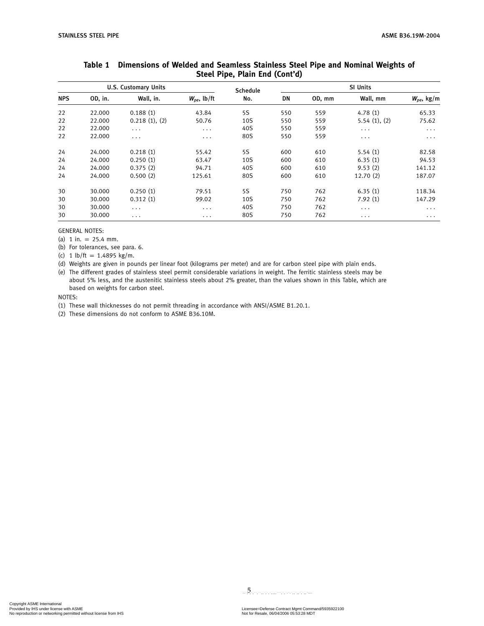|            |         | <b>U.S. Customary Units</b> |                  | Schedule<br>No. | SI Units |        |              |                 |  |
|------------|---------|-----------------------------|------------------|-----------------|----------|--------|--------------|-----------------|--|
| <b>NPS</b> | OD, in. | Wall, in.                   | $W_{pe}$ , lb/ft |                 | DN       | OD, mm | Wall, mm     | $W_{pe}$ , kg/m |  |
| 22         | 22.000  | 0.188(1)                    | 43.84            | 5S              | 550      | 559    | 4.78(1)      | 65.33           |  |
| 22         | 22.000  | 0.218(1), (2)               | 50.76            | 10 <sub>S</sub> | 550      | 559    | 5.54(1), (2) | 75.62           |  |
| 22         | 22.000  | .                           | .                | 40S             | 550      | 559    | $\cdots$     | $\cdots$        |  |
| 22         | 22.000  | .                           | $\cdots$         | 80S             | 550      | 559    | $\cdots$     | $\cdots$        |  |
| 24         | 24.000  | 0.218(1)                    | 55.42            | 5S              | 600      | 610    | 5.54(1)      | 82.58           |  |
| 24         | 24.000  | 0.250(1)                    | 63.47            | 10S             | 600      | 610    | 6.35(1)      | 94.53           |  |
| 24         | 24.000  | 0.375(2)                    | 94.71            | 40S             | 600      | 610    | 9.53(2)      | 141.12          |  |
| 24         | 24.000  | 0.500(2)                    | 125.61           | 80S             | 600      | 610    | 12.70(2)     | 187.07          |  |
| 30         | 30.000  | 0.250(1)                    | 79.51            | 5S              | 750      | 762    | 6.35(1)      | 118.34          |  |
| 30         | 30.000  | 0.312(1)                    | 99.02            | 10 <sub>S</sub> | 750      | 762    | 7.92(1)      | 147.29          |  |
| 30         | 30.000  | .                           | $\cdots$         | 40S             | 750      | 762    | $\ddotsc$    | $\cdots$        |  |
| 30         | 30.000  | $\cdots$                    | $\cdots$         | 80S             | 750      | 762    | $\cdots$     | .               |  |

### **Table 1 Dimensions of Welded and Seamless Stainless Steel Pipe and Nominal Weights of Steel Pipe, Plain End (Cont'd)**

GENERAL NOTES:

(a)  $1 \text{ in.} = 25.4 \text{ mm.}$ 

(b) For tolerances, see para. 6.

(c) 1  $\frac{1}{\pi}$  lb/ft = 1.4895 kg/m.

(d) Weights are given in pounds per linear foot (kilograms per meter) and are for carbon steel pipe with plain ends.

(e) The different grades of stainless steel permit considerable variations in weight. The ferritic stainless steels may be about 5% less, and the austenitic stainless steels about 2% greater, than the values shown in this Table, which are

based on weights for carbon steel.

NOTES:

(1) These wall thicknesses do not permit threading in accordance with ANSI/ASME B1.20.1.

(2) These dimensions do not conform to ASME B36.10M.

Copyright ASME International<br>Provided by IHS wide licenses with ASME<br>No reproduction or networking permitted without license from IHS and the state of the state of the state of th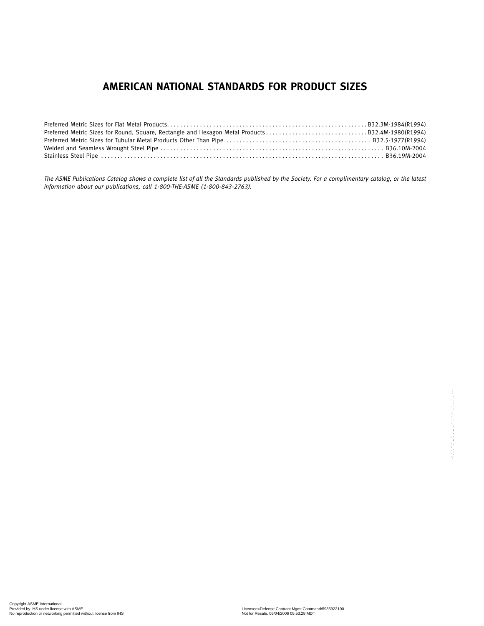### **AMERICAN NATIONAL STANDARDS FOR PRODUCT SIZES**

*The ASME Publications Catalog shows a complete list of all the Standards published by the Society. For a complimentary catalog, or the latest information about our publications, call 1-800-THE-ASME (1-800-843-2763).*